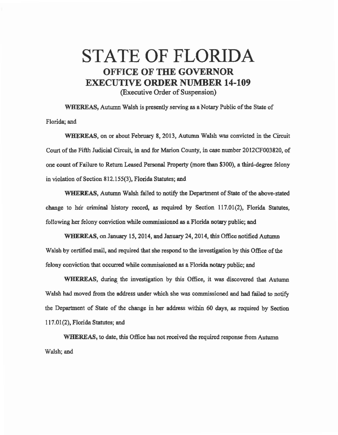## STATE OF FLORIDA OFFICE OF THE GOVERNOR EXECUTIVE ORDER NUMBER 14-109

(Executive Order of Suspension)

WHEREAS, Autwnn Walsh is presently serving as a Notary Public of the State of Florida; and

WHEREAS, on or about February 8, 2013, Autumn Walsh was convicted in the Circuit Court of the Fifth Judicial Circuit, in and for Marion County, in case number 2012CF003820, of one count of Failure to Return Leased Personal Property (more than \$300), a third-degree felony in violation of Section 812.155(3), Florida Statutes; and

WHEREAS, Autumn Walsh failed to notify the Department of State of the above-stated change to her criminal history record, as required by Section 117.01(2), Florida Statutes, following her felony conviction while commissioned as a Florida notary public; and

WHEREAS, on January 15, 2014, and January 24, 2014, this Office notified Autumn Walsh by certified mail, and required that she respond to the investigation by this Office of the felony conviction that occurred while commissioned as a Florida notary public; and

WHEREAS, during the investigation by this Office, it was discovered that Autumn Walsh had moved from the address under which she was commissioned and had failed to notify the Department of State of the change in her address within 60 days, as required by Section 117.01(2), Florida Statutes; and

WHEREAS, to date, this Office has not received the required response from Autumn Walsh; and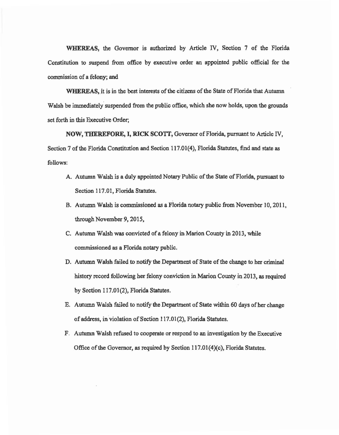WHEREAS, the Governor is authorized by Article IV, Section 7 of the Florida Constitution to suspend from office by executive order an appointed public official for the commission of a felony; and

WHEREAS, it is in the best interests of the citizens of the State of Florida that Autumn Walsh be immediately suspended from the public office, which she now holds, upon the grounds set forth in this Executive Order;

NOW, THEREFORE, I, RICK SCOTT, Governor of Florida, pursuant to Article IV, Section 7 of the Florida Constitution and Section 117.01(4), Florida Statutes, find and state as follows:

- A. Autumn Walsh is a duly appointed Notary Public of the State of Florida, pursuant to Section 117.01, Florida Statutes.
- B. Autumn Walsh is commissioned as a Florida notary public from November 10, 2011, through November 9, 2015,
- C. Autumn Walsh was convicted of a felony in Marion County in 2013, while commissioned as a Florida notary public.
- D. Autumn Walsh failed to notify the Department of State of the change to her criminal history record following her felony conviction in Marion County in 2013, as required by Section 117.01(2), Florida Statutes.
- E. Autumn Walsh failed to notify the Department of State within 60 days of her change of address, in violation of Section 117 .01 (2), Florida Statutes.
- F. Autumn Walsh refused to cooperate or respond to an investigation by the Executive Office of the Governor, as required by Section 117.01(4)(c), Florida Statutes.